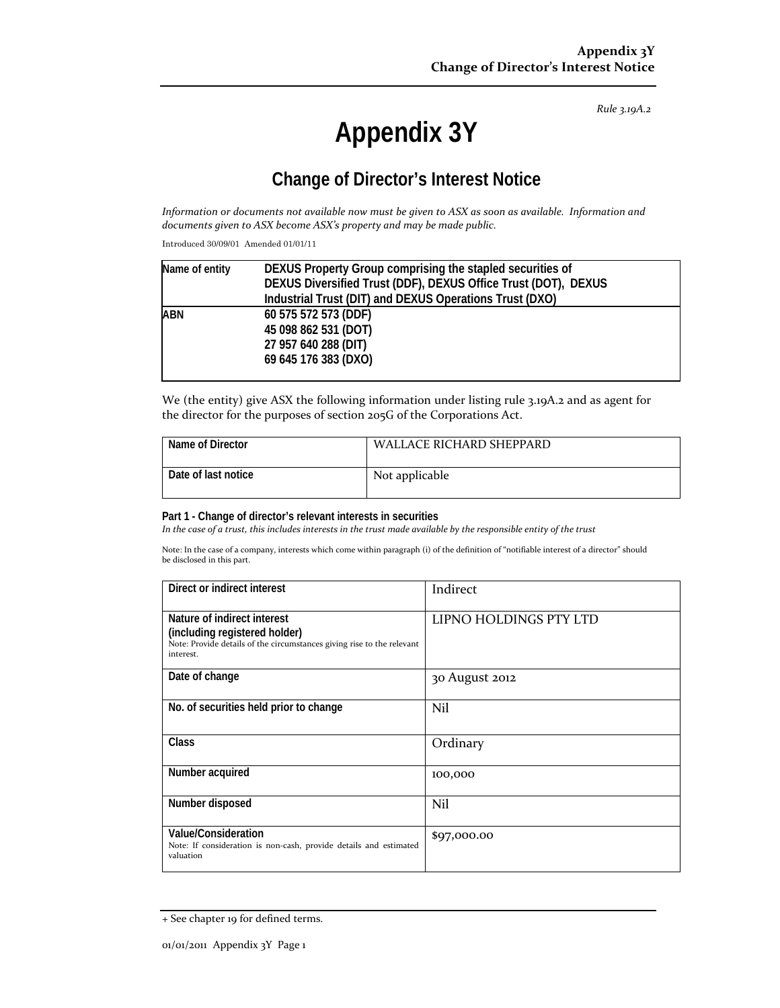*Rule 3.19A.2*

# **Appendix 3Y**

# **Change of Director's Interest Notice**

Information or documents not available now must be given to ASX as soon as available. Information and *documents given to ASX become ASX's property and may be made public.*

Introduced 30/09/01 Amended 01/01/11

| Name of entity | DEXUS Property Group comprising the stapled securities of      |
|----------------|----------------------------------------------------------------|
|                | DEXUS Diversified Trust (DDF), DEXUS Office Trust (DOT), DEXUS |
|                | Industrial Trust (DIT) and DEXUS Operations Trust (DXO)        |
| ABN            | 60 575 572 573 (DDF)                                           |
|                | 45 098 862 531 (DOT)                                           |
|                | 27 957 640 288 (DIT)                                           |
|                | 69 645 176 383 (DXO)                                           |
|                |                                                                |

We (the entity) give ASX the following information under listing rule 3.19A.2 and as agent for the director for the purposes of section 205G of the Corporations Act.

| Name of Director    | WALLACE RICHARD SHEPPARD |
|---------------------|--------------------------|
| Date of last notice | Not applicable           |

#### **Part 1 - Change of director's relevant interests in securities**

In the case of a trust, this includes interests in the trust made available by the responsible entity of the trust

Note: In the case of a company, interests which come within paragraph (i) of the definition of "notifiable interest of a director" should be disclosed in this part.

| Direct or indirect interest                                                                                                                         | Indirect               |
|-----------------------------------------------------------------------------------------------------------------------------------------------------|------------------------|
| Nature of indirect interest<br>(including registered holder)<br>Note: Provide details of the circumstances giving rise to the relevant<br>interest. | LIPNO HOLDINGS PTY LTD |
| Date of change                                                                                                                                      | 30 August 2012         |
| No. of securities held prior to change                                                                                                              | Nil                    |
| <b>Class</b>                                                                                                                                        | Ordinary               |
| Number acquired                                                                                                                                     | 100,000                |
| Number disposed                                                                                                                                     | Nil                    |
| Value/Consideration<br>Note: If consideration is non-cash, provide details and estimated<br>valuation                                               | \$97,000.00            |

<sup>+</sup> See chapter 19 for defined terms.